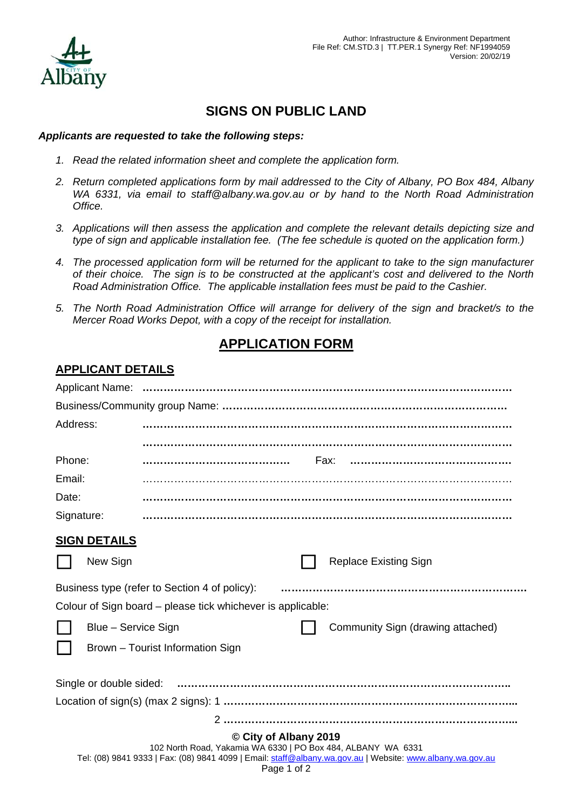

## **SIGNS ON PUBLIC LAND**

#### *Applicants are requested to take the following steps:*

- *1. Read the related information sheet and complete the application form.*
- *2. Return completed applications form by mail addressed to the City of Albany, PO Box 484, Albany WA 6331, via email to staff@albany.wa.gov.au or by hand to the North Road Administration Office.*
- *3. Applications will then assess the application and complete the relevant details depicting size and type of sign and applicable installation fee. (The fee schedule is quoted on the application form.)*
- *4. The processed application form will be returned for the applicant to take to the sign manufacturer of their choice. The sign is to be constructed at the applicant's cost and delivered to the North Road Administration Office. The applicable installation fees must be paid to the Cashier.*
- *5. The North Road Administration Office will arrange for delivery of the sign and bracket/s to the Mercer Road Works Depot, with a copy of the receipt for installation.*

# **APPLICATION FORM**

### **APPLICANT DETAILS**

| Address:                                                                                                                                                                                           |                     |                                                             |  |  |  |  |  |  |  |
|----------------------------------------------------------------------------------------------------------------------------------------------------------------------------------------------------|---------------------|-------------------------------------------------------------|--|--|--|--|--|--|--|
|                                                                                                                                                                                                    |                     |                                                             |  |  |  |  |  |  |  |
| Phone:                                                                                                                                                                                             |                     | Fax:                                                        |  |  |  |  |  |  |  |
| Email:                                                                                                                                                                                             |                     |                                                             |  |  |  |  |  |  |  |
| Date:                                                                                                                                                                                              |                     |                                                             |  |  |  |  |  |  |  |
| Signature:                                                                                                                                                                                         |                     |                                                             |  |  |  |  |  |  |  |
| <b>SIGN DETAILS</b>                                                                                                                                                                                |                     |                                                             |  |  |  |  |  |  |  |
|                                                                                                                                                                                                    | New Sign            | <b>Replace Existing Sign</b>                                |  |  |  |  |  |  |  |
|                                                                                                                                                                                                    |                     | Business type (refer to Section 4 of policy):               |  |  |  |  |  |  |  |
|                                                                                                                                                                                                    |                     | Colour of Sign board – please tick whichever is applicable: |  |  |  |  |  |  |  |
|                                                                                                                                                                                                    | Blue - Service Sign | Community Sign (drawing attached)                           |  |  |  |  |  |  |  |
|                                                                                                                                                                                                    |                     | Brown - Tourist Information Sign                            |  |  |  |  |  |  |  |
|                                                                                                                                                                                                    |                     |                                                             |  |  |  |  |  |  |  |
|                                                                                                                                                                                                    |                     |                                                             |  |  |  |  |  |  |  |
|                                                                                                                                                                                                    |                     |                                                             |  |  |  |  |  |  |  |
| © City of Albany 2019<br>102 North Road, Yakamia WA 6330   PO Box 484, ALBANY WA 6331<br>Tel: (08) 9841 9333   Fax: (08) 9841 4099   Email: staff@albany.wa.gov.au   Website: www.albany.wa.gov.au |                     |                                                             |  |  |  |  |  |  |  |